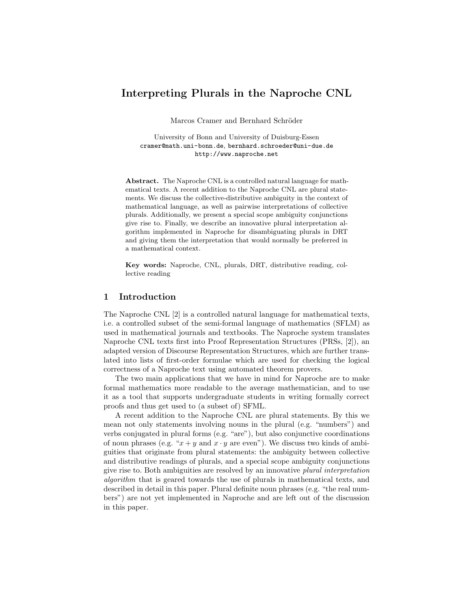# Interpreting Plurals in the Naproche CNL

Marcos Cramer and Bernhard Schröder

University of Bonn and University of Duisburg-Essen cramer@math.uni-bonn.de, bernhard.schroeder@uni-due.de http://www.naproche.net

Abstract. The Naproche CNL is a controlled natural language for mathematical texts. A recent addition to the Naproche CNL are plural statements. We discuss the collective-distributive ambiguity in the context of mathematical language, as well as pairwise interpretations of collective plurals. Additionally, we present a special scope ambiguity conjunctions give rise to. Finally, we describe an innovative plural interpretation algorithm implemented in Naproche for disambiguating plurals in DRT and giving them the interpretation that would normally be preferred in a mathematical context.

Key words: Naproche, CNL, plurals, DRT, distributive reading, collective reading

## 1 Introduction

The Naproche CNL [2] is a controlled natural language for mathematical texts, i.e. a controlled subset of the semi-formal language of mathematics (SFLM) as used in mathematical journals and textbooks. The Naproche system translates Naproche CNL texts first into Proof Representation Structures (PRSs, [2]), an adapted version of Discourse Representation Structures, which are further translated into lists of first-order formulae which are used for checking the logical correctness of a Naproche text using automated theorem provers.

The two main applications that we have in mind for Naproche are to make formal mathematics more readable to the average mathematician, and to use it as a tool that supports undergraduate students in writing formally correct proofs and thus get used to (a subset of) SFML.

A recent addition to the Naproche CNL are plural statements. By this we mean not only statements involving nouns in the plural (e.g. "numbers") and verbs conjugated in plural forms (e.g. "are"), but also conjunctive coordinations of noun phrases (e.g. " $x + y$  and  $x \cdot y$  are even"). We discuss two kinds of ambiguities that originate from plural statements: the ambiguity between collective and distributive readings of plurals, and a special scope ambiguity conjunctions give rise to. Both ambiguities are resolved by an innovative plural interpretation algorithm that is geared towards the use of plurals in mathematical texts, and described in detail in this paper. Plural definite noun phrases (e.g. "the real numbers") are not yet implemented in Naproche and are left out of the discussion in this paper.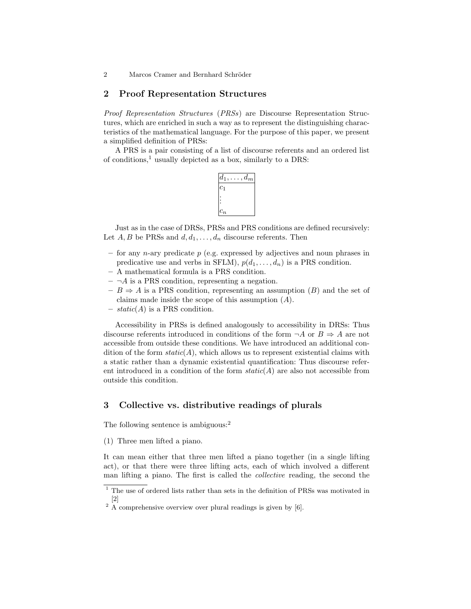2 Marcos Cramer and Bernhard Schröder

### 2 Proof Representation Structures

Proof Representation Structures (PRSs) are Discourse Representation Structures, which are enriched in such a way as to represent the distinguishing characteristics of the mathematical language. For the purpose of this paper, we present a simplified definition of PRSs:

A PRS is a pair consisting of a list of discourse referents and an ordered list of conditions, $<sup>1</sup>$  usually depicted as a box, similarly to a DRS:</sup>



Just as in the case of DRSs, PRSs and PRS conditions are defined recursively: Let  $A, B$  be PRSs and  $d, d_1, \ldots, d_n$  discourse referents. Then

- for any n-ary predicate  $p$  (e.g. expressed by adjectives and noun phrases in predicative use and verbs in SFLM),  $p(d_1, \ldots, d_n)$  is a PRS condition.
- A mathematical formula is a PRS condition.
- $\neg A$  is a PRS condition, representing a negation.
- $-B \Rightarrow A$  is a PRS condition, representing an assumption  $(B)$  and the set of claims made inside the scope of this assumption  $(A)$ .
- $static(A)$  is a PRS condition.

Accessibility in PRSs is defined analogously to accessibility in DRSs: Thus discourse referents introduced in conditions of the form  $\neg A$  or  $B \Rightarrow A$  are not accessible from outside these conditions. We have introduced an additional condition of the form  $static(A)$ , which allows us to represent existential claims with a static rather than a dynamic existential quantification: Thus discourse referent introduced in a condition of the form  $static(A)$  are also not accessible from outside this condition.

# 3 Collective vs. distributive readings of plurals

The following sentence is ambiguous:<sup>2</sup>

(1) Three men lifted a piano.

It can mean either that three men lifted a piano together (in a single lifting act), or that there were three lifting acts, each of which involved a different man lifting a piano. The first is called the collective reading, the second the

 $\frac{1}{1}$  The use of ordered lists rather than sets in the definition of PRSs was motivated in [2]

 $2\,$  A comprehensive overview over plural readings is given by [6].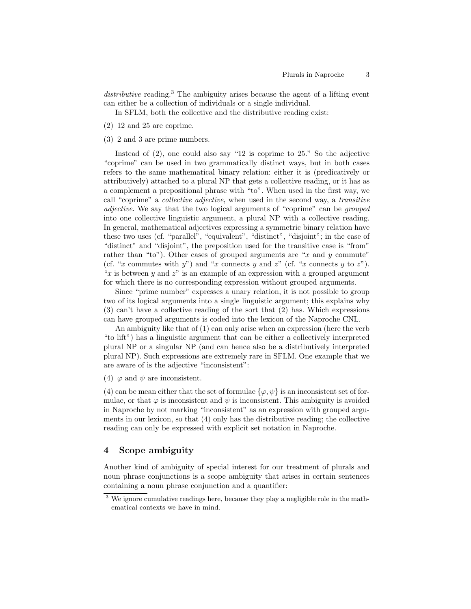distributive reading.<sup>3</sup> The ambiguity arises because the agent of a lifting event can either be a collection of individuals or a single individual.

In SFLM, both the collective and the distributive reading exist:

- (2) 12 and 25 are coprime.
- (3) 2 and 3 are prime numbers.

Instead of (2), one could also say "12 is coprime to 25." So the adjective "coprime" can be used in two grammatically distinct ways, but in both cases refers to the same mathematical binary relation: either it is (predicatively or attributively) attached to a plural NP that gets a collective reading, or it has as a complement a prepositional phrase with "to". When used in the first way, we call "coprime" a collective adjective, when used in the second way, a transitive adjective. We say that the two logical arguments of "coprime" can be grouped into one collective linguistic argument, a plural NP with a collective reading. In general, mathematical adjectives expressing a symmetric binary relation have these two uses (cf. "parallel", "equivalent", "distinct", "disjoint"; in the case of "distinct" and "disjoint", the preposition used for the transitive case is "from" rather than "to"). Other cases of grouped arguments are "x and y commute" (cf. "x commutes with  $y$ ") and "x connects y and  $z$ " (cf. "x connects y to  $z$ "). "x is between y and  $z$ " is an example of an expression with a grouped argument for which there is no corresponding expression without grouped arguments.

Since "prime number" expresses a unary relation, it is not possible to group two of its logical arguments into a single linguistic argument; this explains why (3) can't have a collective reading of the sort that (2) has. Which expressions can have grouped arguments is coded into the lexicon of the Naproche CNL.

An ambiguity like that of (1) can only arise when an expression (here the verb "to lift") has a linguistic argument that can be either a collectively interpreted plural NP or a singular NP (and can hence also be a distributively interpreted plural NP). Such expressions are extremely rare in SFLM. One example that we are aware of is the adjective "inconsistent":

(4)  $\varphi$  and  $\psi$  are inconsistent.

(4) can be mean either that the set of formulae  $\{\varphi, \psi\}$  is an inconsistent set of formulae, or that  $\varphi$  is inconsistent and  $\psi$  is inconsistent. This ambiguity is avoided in Naproche by not marking "inconsistent" as an expression with grouped arguments in our lexicon, so that (4) only has the distributive reading; the collective reading can only be expressed with explicit set notation in Naproche.

#### 4 Scope ambiguity

Another kind of ambiguity of special interest for our treatment of plurals and noun phrase conjunctions is a scope ambiguity that arises in certain sentences containing a noun phrase conjunction and a quantifier:

<sup>&</sup>lt;sup>3</sup> We ignore cumulative readings here, because they play a negligible role in the mathematical contexts we have in mind.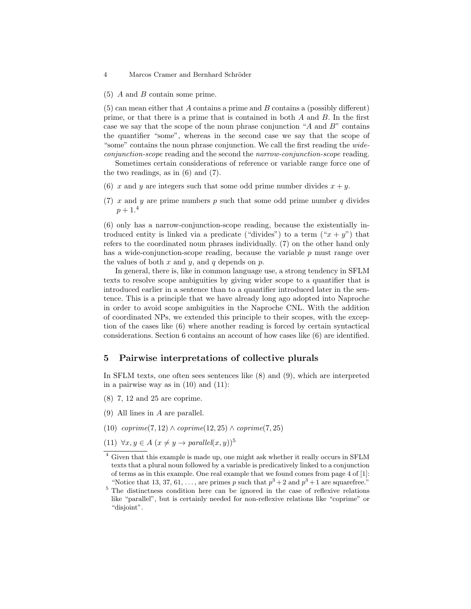- 4 Marcos Cramer and Bernhard Schröder
- (5) A and B contain some prime.

(5) can mean either that A contains a prime and B contains a (possibly different) prime, or that there is a prime that is contained in both  $A$  and  $B$ . In the first case we say that the scope of the noun phrase conjunction " $A$  and  $B$ " contains the quantifier "some", whereas in the second case we say that the scope of "some" contains the noun phrase conjunction. We call the first reading the wideconjunction-scope reading and the second the narrow-conjunction-scope reading.

Sometimes certain considerations of reference or variable range force one of the two readings, as in (6) and (7).

- (6) x and y are integers such that some odd prime number divides  $x + y$ .
- (7) x and y are prime numbers p such that some odd prime number q divides  $p + 1.4$

(6) only has a narrow-conjunction-scope reading, because the existentially introduced entity is linked via a predicate ("divides") to a term  $(*x + y")$  that refers to the coordinated noun phrases individually. (7) on the other hand only has a wide-conjunction-scope reading, because the variable  $p$  must range over the values of both  $x$  and  $y$ , and  $q$  depends on  $p$ .

In general, there is, like in common language use, a strong tendency in SFLM texts to resolve scope ambiguities by giving wider scope to a quantifier that is introduced earlier in a sentence than to a quantifier introduced later in the sentence. This is a principle that we have already long ago adopted into Naproche in order to avoid scope ambiguities in the Naproche CNL. With the addition of coordinated NPs, we extended this principle to their scopes, with the exception of the cases like (6) where another reading is forced by certain syntactical considerations. Section 6 contains an account of how cases like (6) are identified.

# 5 Pairwise interpretations of collective plurals

In SFLM texts, one often sees sentences like (8) and (9), which are interpreted in a pairwise way as in  $(10)$  and  $(11)$ :

- (8) 7, 12 and 25 are coprime.
- (9) All lines in A are parallel.
- (10)  $coprime(7, 12) \wedge coprime(12, 25) \wedge coprime(7, 25)$
- (11)  $\forall x, y \in A \ (x \neq y \rightarrow \text{parallel}(x, y))^5$
- <sup>4</sup> Given that this example is made up, one might ask whether it really occurs in SFLM texts that a plural noun followed by a variable is predicatively linked to a conjunction of terms as in this example. One real example that we found comes from page 4 of [1]: "Notice that 13, 37, 61, ..., are primes p such that  $p^3 + 2$  and  $p^3 + 1$  are squarefree."
- <sup>5</sup> The distinctness condition here can be ignored in the case of reflexive relations like "parallel", but is certainly needed for non-reflexive relations like "coprime" or "disjoint".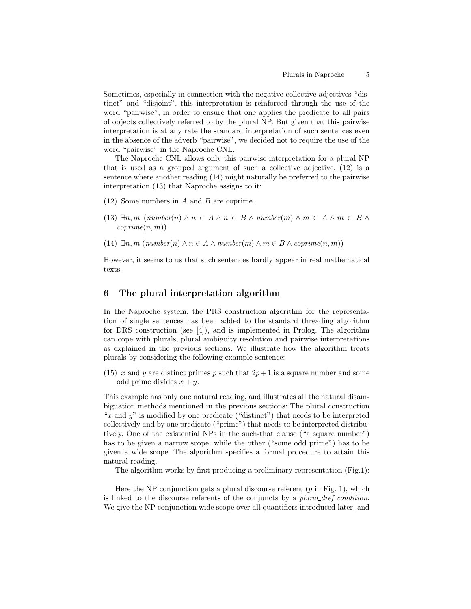Sometimes, especially in connection with the negative collective adjectives "distinct" and "disjoint", this interpretation is reinforced through the use of the word "pairwise", in order to ensure that one applies the predicate to all pairs of objects collectively referred to by the plural NP. But given that this pairwise interpretation is at any rate the standard interpretation of such sentences even in the absence of the adverb "pairwise", we decided not to require the use of the word "pairwise" in the Naproche CNL.

The Naproche CNL allows only this pairwise interpretation for a plural NP that is used as a grouped argument of such a collective adjective. (12) is a sentence where another reading (14) might naturally be preferred to the pairwise interpretation (13) that Naproche assigns to it:

- (12) Some numbers in A and B are coprime.
- (13)  $\exists n, m \ (number(n) \land n \in A \land n \in B \land number(m) \land m \in A \land m \in B \land$  $coprime(n, m))$
- (14)  $\exists n, m \ (number(n) \land n \in A \land number(m) \land m \in B \land coprime(n, m))$

However, it seems to us that such sentences hardly appear in real mathematical texts.

## 6 The plural interpretation algorithm

In the Naproche system, the PRS construction algorithm for the representation of single sentences has been added to the standard threading algorithm for DRS construction (see [4]), and is implemented in Prolog. The algorithm can cope with plurals, plural ambiguity resolution and pairwise interpretations as explained in the previous sections. We illustrate how the algorithm treats plurals by considering the following example sentence:

(15) x and y are distinct primes p such that  $2p+1$  is a square number and some odd prime divides  $x + y$ .

This example has only one natural reading, and illustrates all the natural disambiguation methods mentioned in the previous sections: The plural construction "x and y" is modified by one predicate ("distinct") that needs to be interpreted collectively and by one predicate ("prime") that needs to be interpreted distributively. One of the existential NPs in the such-that clause ("a square number") has to be given a narrow scope, while the other ("some odd prime") has to be given a wide scope. The algorithm specifies a formal procedure to attain this natural reading.

The algorithm works by first producing a preliminary representation (Fig.1):

Here the NP conjunction gets a plural discourse referent  $(p \text{ in Fig. 1})$ , which is linked to the discourse referents of the conjuncts by a plural dref condition. We give the NP conjunction wide scope over all quantifiers introduced later, and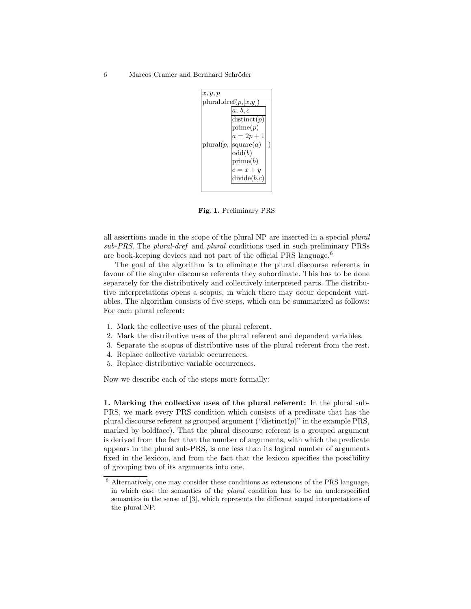6 Marcos Cramer and Bernhard Schröder



Fig. 1. Preliminary PRS

all assertions made in the scope of the plural NP are inserted in a special plural sub-PRS. The plural-dref and plural conditions used in such preliminary PRSs are book-keeping devices and not part of the official PRS language.<sup>6</sup>

The goal of the algorithm is to eliminate the plural discourse referents in favour of the singular discourse referents they subordinate. This has to be done separately for the distributively and collectively interpreted parts. The distributive interpretations opens a scopus, in which there may occur dependent variables. The algorithm consists of five steps, which can be summarized as follows: For each plural referent:

- 1. Mark the collective uses of the plural referent.
- 2. Mark the distributive uses of the plural referent and dependent variables.
- 3. Separate the scopus of distributive uses of the plural referent from the rest.
- 4. Replace collective variable occurrences.
- 5. Replace distributive variable occurrences.

Now we describe each of the steps more formally:

1. Marking the collective uses of the plural referent: In the plural sub-PRS, we mark every PRS condition which consists of a predicate that has the plural discourse referent as grouped argument ("distinct( $p$ )" in the example PRS, marked by boldface). That the plural discourse referent is a grouped argument is derived from the fact that the number of arguments, with which the predicate appears in the plural sub-PRS, is one less than its logical number of arguments fixed in the lexicon, and from the fact that the lexicon specifies the possibility of grouping two of its arguments into one.

 $^6$  Alternatively, one may consider these conditions as extensions of the PRS language, in which case the semantics of the plural condition has to be an underspecified semantics in the sense of [3], which represents the different scopal interpretations of the plural NP.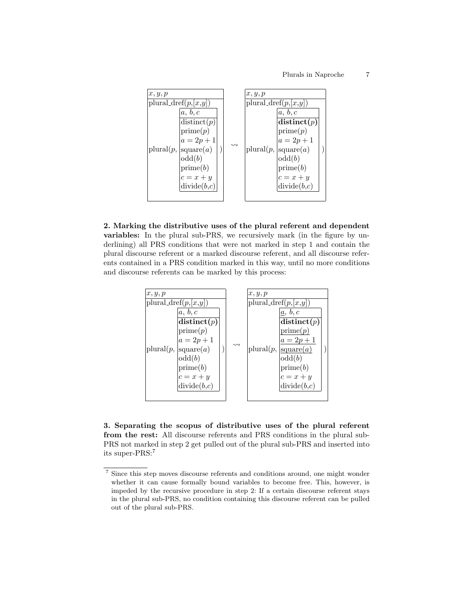

2. Marking the distributive uses of the plural referent and dependent variables: In the plural sub-PRS, we recursively mark (in the figure by underlining) all PRS conditions that were not marked in step 1 and contain the plural discourse referent or a marked discourse referent, and all discourse referents contained in a PRS condition marked in this way, until no more conditions and discourse referents can be marked by this process:



3. Separating the scopus of distributive uses of the plural referent from the rest: All discourse referents and PRS conditions in the plural sub-PRS not marked in step 2 get pulled out of the plural sub-PRS and inserted into its super-PRS:<sup>7</sup>

<sup>7</sup> Since this step moves discourse referents and conditions around, one might wonder whether it can cause formally bound variables to become free. This, however, is impeded by the recursive procedure in step 2: If a certain discourse referent stays in the plural sub-PRS, no condition containing this discourse referent can be pulled out of the plural sub-PRS.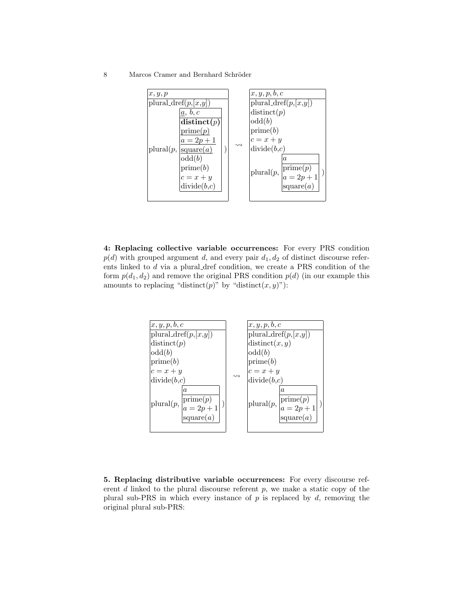8 Marcos Cramer and Bernhard Schröder



4: Replacing collective variable occurrences: For every PRS condition  $p(d)$  with grouped argument d, and every pair  $d_1, d_2$  of distinct discourse referents linked to d via a plural dref condition, we create a PRS condition of the form  $p(d_1, d_2)$  and remove the original PRS condition  $p(d)$  (in our example this amounts to replacing "distinct(p)" by "distinct(x, y)"):



5. Replacing distributive variable occurrences: For every discourse referent d linked to the plural discourse referent  $p$ , we make a static copy of the plural sub-PRS in which every instance of  $p$  is replaced by  $d$ , removing the original plural sub-PRS: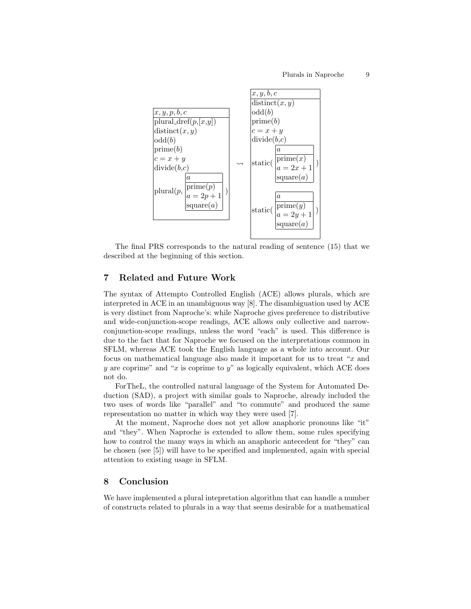

The final PRS corresponds to the natural reading of sentence (15) that we described at the beginning of this section.

# 7 Related and Future Work

The syntax of Attempto Controlled English (ACE) allows plurals, which are interpreted in ACE in an unambiguous way [8]. The disambiguation used by ACE is very distinct from Naproche's: while Naproche gives preference to distributive and wide-conjunction-scope readings, ACE allows only collective and narrowconjunction-scope readings, unless the word "each" is used. This difference is due to the fact that for Naproche we focused on the interpretations common in SFLM, whereas ACE took the English language as a whole into account. Our focus on mathematical language also made it important for us to treat "x and y are coprime" and "x is coprime to  $y$ " as logically equivalent, which ACE does not do.

ForTheL, the controlled natural language of the System for Automated Deduction (SAD), a project with similar goals to Naproche, already included the two uses of words like "parallel" and "to commute" and produced the same representation no matter in which way they were used [7].

At the moment, Naproche does not yet allow anaphoric pronouns like "it" and "they". When Naproche is extended to allow them, some rules specifying how to control the many ways in which an anaphoric antecedent for "they" can be chosen (see [5]) will have to be specified and implemented, again with special attention to existing usage in SFLM.

# 8 Conclusion

We have implemented a plural intepretation algorithm that can handle a number of constructs related to plurals in a way that seems desirable for a mathematical